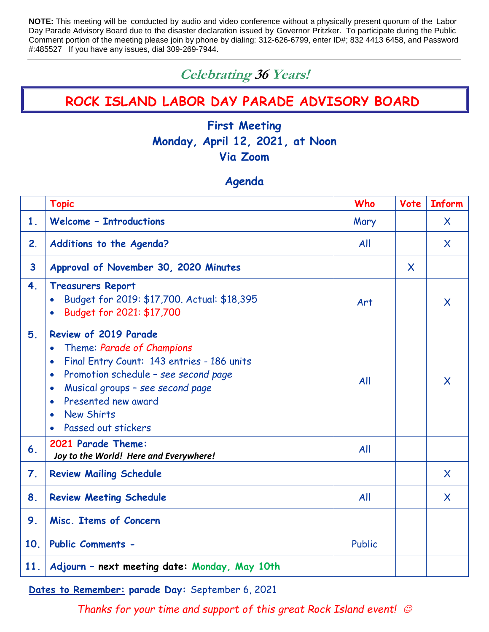**NOTE:** This meeting will be conducted by audio and video conference without a physically present quorum of the Labor Day Parade Advisory Board due to the disaster declaration issued by Governor Pritzker. To participate during the Public Comment portion of the meeting please join by phone by dialing: 312-626-6799, enter ID#; 832 4413 6458, and Password #:485527 If you have any issues, dial 309-269-7944.

# **Celebrating 36 Years!**

# **ROCK ISLAND LABOR DAY PARADE ADVISORY BOARD**

# **First Meeting Monday, April 12, 2021, at Noon Via Zoom**

## **Agenda**

|                         | <b>Topic</b>                                                                                                                                                                                                                                                                                                             | Who    | Vote    | <b>Inform</b>             |
|-------------------------|--------------------------------------------------------------------------------------------------------------------------------------------------------------------------------------------------------------------------------------------------------------------------------------------------------------------------|--------|---------|---------------------------|
| 1 <sub>1</sub>          | <b>Welcome - Introductions</b>                                                                                                                                                                                                                                                                                           | Mary   |         | X.                        |
| 2.                      | Additions to the Agenda?                                                                                                                                                                                                                                                                                                 | All    |         | $\mathsf{X}$              |
| $\overline{\mathbf{3}}$ | Approval of November 30, 2020 Minutes                                                                                                                                                                                                                                                                                    |        | $\sf X$ |                           |
| 4.                      | <b>Treasurers Report</b><br>Budget for 2019: \$17,700. Actual: \$18,395<br>$\bullet$<br>Budget for 2021: \$17,700                                                                                                                                                                                                        | Art    |         | X                         |
| 5.                      | <b>Review of 2019 Parade</b><br>Theme: Parade of Champions<br>$\bullet$<br>Final Entry Count: 143 entries - 186 units<br>$\bullet$<br>Promotion schedule - see second page<br>$\bullet$<br>Musical groups - see second page<br>$\bullet$<br>Presented new award<br>$\bullet$<br><b>New Shirts</b><br>Passed out stickers | All    |         | $\boldsymbol{\mathsf{X}}$ |
| 6.                      | 2021 Parade Theme:<br>Joy to the World! Here and Everywhere!                                                                                                                                                                                                                                                             | All    |         |                           |
| 7.                      | <b>Review Mailing Schedule</b>                                                                                                                                                                                                                                                                                           |        |         | $\mathsf{X}$              |
| 8.                      | <b>Review Meeting Schedule</b>                                                                                                                                                                                                                                                                                           | All    |         | $\mathsf{X}$              |
| 9.                      | Misc. Items of Concern                                                                                                                                                                                                                                                                                                   |        |         |                           |
| 10.                     | <b>Public Comments -</b>                                                                                                                                                                                                                                                                                                 | Public |         |                           |
| 11.                     | Adjourn - next meeting date: Monday, May 10th                                                                                                                                                                                                                                                                            |        |         |                           |

**Dates to Remember: parade Day:** September 6, 2021

*Thanks for your time and support of this great Rock Island event!*